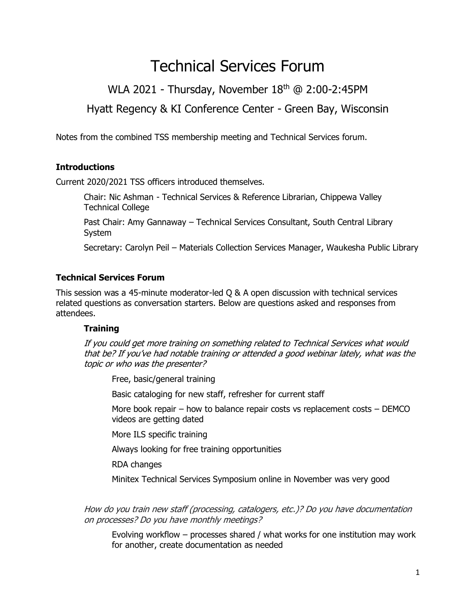# Technical Services Forum

WLA 2021 - Thursday, November 18<sup>th</sup> @ 2:00-2:45PM

Hyatt Regency & KI Conference Center - Green Bay, Wisconsin

Notes from the combined TSS membership meeting and Technical Services forum.

## **Introductions**

Current 2020/2021 TSS officers introduced themselves.

Chair: Nic Ashman - Technical Services & Reference Librarian, Chippewa Valley Technical College

Past Chair: Amy Gannaway – Technical Services Consultant, South Central Library System

Secretary: Carolyn Peil – Materials Collection Services Manager, Waukesha Public Library

### **Technical Services Forum**

This session was a 45-minute moderator-led Q & A open discussion with technical services related questions as conversation starters. Below are questions asked and responses from attendees.

### **Training**

If you could get more training on something related to Technical Services what would that be? If you've had notable training or attended a good webinar lately, what was the topic or who was the presenter?

Free, basic/general training

Basic cataloging for new staff, refresher for current staff

More book repair – how to balance repair costs vs replacement costs – DEMCO videos are getting dated

More ILS specific training

Always looking for free training opportunities

RDA changes

Minitex Technical Services Symposium online in November was very good

How do you train new staff (processing, catalogers, etc.)? Do you have documentation on processes? Do you have monthly meetings?

Evolving workflow – processes shared / what works for one institution may work for another, create documentation as needed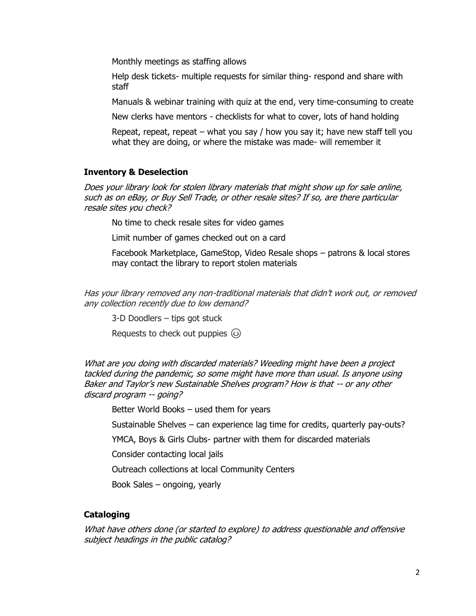Monthly meetings as staffing allows

Help desk tickets- multiple requests for similar thing- respond and share with staff

Manuals & webinar training with quiz at the end, very time-consuming to create

New clerks have mentors - checklists for what to cover, lots of hand holding

Repeat, repeat, repeat – what you say  $/$  how you say it; have new staff tell you what they are doing, or where the mistake was made- will remember it

#### **Inventory & Deselection**

Does your library look for stolen library materials that might show up for sale online, such as on eBay, or Buy Sell Trade, or other resale sites? If so, are there particular resale sites you check?

No time to check resale sites for video games

Limit number of games checked out on a card

Facebook Marketplace, GameStop, Video Resale shops – patrons & local stores may contact the library to report stolen materials

Has your library removed any non-traditional materials that didn't work out, or removed any collection recently due to low demand?

3-D Doodlers – tips got stuck

Requests to check out puppies  $\circledS$ 

What are you doing with discarded materials? Weeding might have been a project tackled during the pandemic, so some might have more than usual. Is anyone using Baker and Taylor's new Sustainable Shelves program? How is that -- or any other discard program -- going?

Better World Books – used them for years

Sustainable Shelves – can experience lag time for credits, quarterly pay-outs?

YMCA, Boys & Girls Clubs- partner with them for discarded materials

Consider contacting local jails

Outreach collections at local Community Centers

Book Sales – ongoing, yearly

#### **Cataloging**

What have others done (or started to explore) to address questionable and offensive subject headings in the public catalog?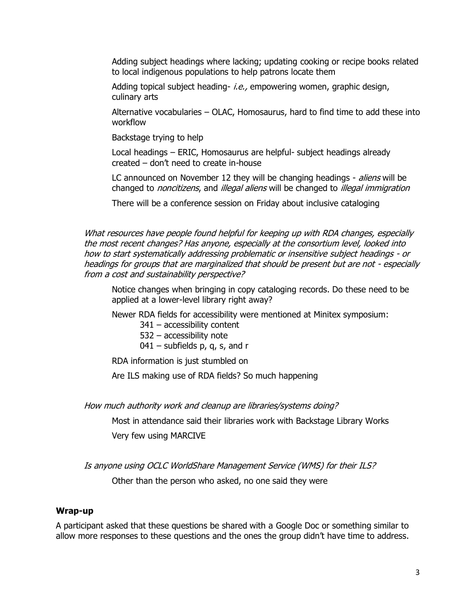Adding subject headings where lacking; updating cooking or recipe books related to local indigenous populations to help patrons locate them

Adding topical subject heading- i.e., empowering women, graphic design, culinary arts

Alternative vocabularies – OLAC, Homosaurus, hard to find time to add these into workflow

Backstage trying to help

Local headings – ERIC, Homosaurus are helpful- subject headings already created – don't need to create in-house

LC announced on November 12 they will be changing headings - aliens will be changed to *noncitizens*, and *illegal aliens* will be changed to *illegal immigration* 

There will be a conference session on Friday about inclusive cataloging

What resources have people found helpful for keeping up with RDA changes, especially the most recent changes? Has anyone, especially at the consortium level, looked into how to start systematically addressing problematic or insensitive subject headings - or headings for groups that are marginalized that should be present but are not - especially from a cost and sustainability perspective?

Notice changes when bringing in copy cataloging records. Do these need to be applied at a lower-level library right away?

Newer RDA fields for accessibility were mentioned at Minitex symposium:

341 – accessibility content

- 532 accessibility note
- $041$  subfields p, q, s, and r

RDA information is just stumbled on

Are ILS making use of RDA fields? So much happening

How much authority work and cleanup are libraries/systems doing?

Most in attendance said their libraries work with Backstage Library Works Very few using MARCIVE

Is anyone using OCLC WorldShare Management Service (WMS) for their ILS?

Other than the person who asked, no one said they were

#### **Wrap-up**

A participant asked that these questions be shared with a Google Doc or something similar to allow more responses to these questions and the ones the group didn't have time to address.